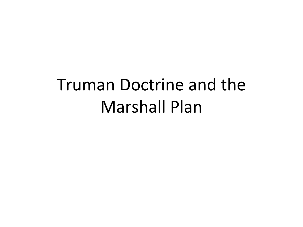# Truman Doctrine and the Marshall Plan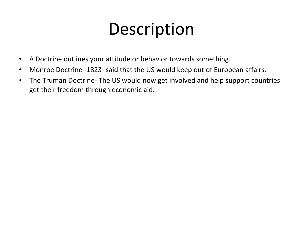### **Description**

- A Doctrine outlines your attitude or behavior towards something.
- Monroe Doctrine- 1823- said that the US would keep out of European affairs.
- The Truman Doctrine- The US would now get involved and help support countries get their freedom through economic aid.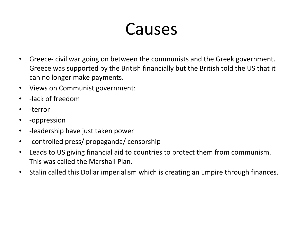### Causes

- Greece- civil war going on between the communists and the Greek government. Greece was supported by the British financially but the British told the US that it can no longer make payments.
- Views on Communist government:
- -lack of freedom
- -terror
- -oppression
- -leadership have just taken power
- -controlled press/ propaganda/ censorship
- Leads to US giving financial aid to countries to protect them from communism. This was called the Marshall Plan.
- Stalin called this Dollar imperialism which is creating an Empire through finances.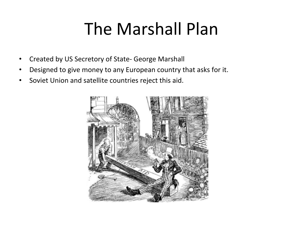# The Marshall Plan

- Created by US Secretory of State- George Marshall
- Designed to give money to any European country that asks for it.
- Soviet Union and satellite countries reject this aid.